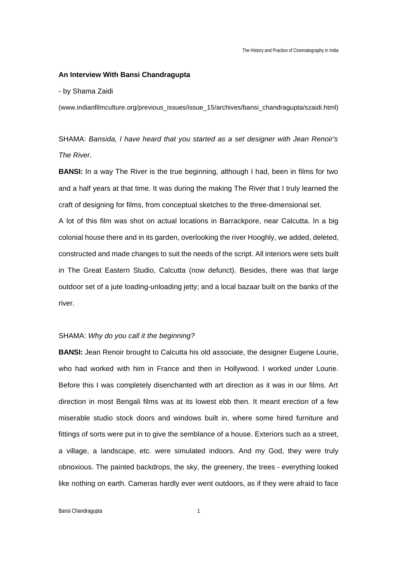#### **An Interview With Bansi Chandragupta**

- by Shama Zaidi

(www.indianfilmculture.org/previous\_issues/issue\_15/archives/bansi\_chandragupta/szaidi.html)

SHAMA: *Bansida, I have heard that you started as a set designer with Jean Renoir's The River.* 

**BANSI:** In a way The River is the true beginning, although I had, been in films for two and a half years at that time. It was during the making The River that I truly learned the craft of designing for films, from conceptual sketches to the three-dimensional set. A lot of this film was shot on actual locations in Barrackpore, near Calcutta. In a big colonial house there and in its garden, overlooking the river Hooghly, we added, deleted, constructed and made changes to suit the needs of the script. All interiors were sets built in The Great Eastern Studio, Calcutta (now defunct). Besides, there was that large outdoor set of a jute loading-unloading jetty; and a local bazaar built on the banks of the river.

#### SHAMA: *Why do you call it the beginning?*

**BANSI:** Jean Renoir brought to Calcutta his old associate, the designer Eugene Lourie, who had worked with him in France and then in Hollywood. I worked under Lourie. Before this I was completely disenchanted with art direction as it was in our films. Art direction in most Bengali films was at its lowest ebb then. It meant erection of a few miserable studio stock doors and windows built in, where some hired furniture and fittings of sorts were put in to give the semblance of a house. Exteriors such as a street, a village, a landscape, etc. were simulated indoors. And my God, they were truly obnoxious. The painted backdrops, the sky, the greenery, the trees - everything looked like nothing on earth. Cameras hardly ever went outdoors, as if they were afraid to face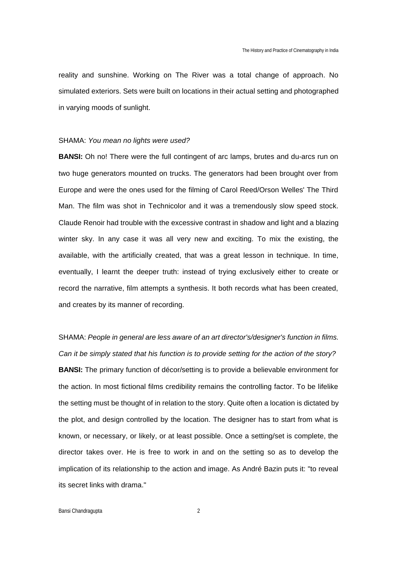reality and sunshine. Working on The River was a total change of approach. No simulated exteriors. Sets were built on locations in their actual setting and photographed in varying moods of sunlight.

#### SHAMA: *You mean no lights were used?*

**BANSI:** Oh no! There were the full contingent of arc lamps, brutes and du-arcs run on two huge generators mounted on trucks. The generators had been brought over from Europe and were the ones used for the filming of Carol Reed/Orson Welles' The Third Man. The film was shot in Technicolor and it was a tremendously slow speed stock. Claude Renoir had trouble with the excessive contrast in shadow and light and a blazing winter sky. In any case it was all very new and exciting. To mix the existing, the available, with the artificially created, that was a great lesson in technique. In time, eventually, I learnt the deeper truth: instead of trying exclusively either to create or record the narrative, film attempts a synthesis. It both records what has been created, and creates by its manner of recording.

SHAMA: *People in general are less aware of an art director's/designer's function in films. Can it be simply stated that his function is to provide setting for the action of the story?* **BANSI:** The primary function of décor/setting is to provide a believable environment for the action. In most fictional films credibility remains the controlling factor. To be lifelike the setting must be thought of in relation to the story. Quite often a location is dictated by the plot, and design controlled by the location. The designer has to start from what is known, or necessary, or likely, or at least possible. Once a setting/set is complete, the director takes over. He is free to work in and on the setting so as to develop the implication of its relationship to the action and image. As André Bazin puts it: "to reveal its secret links with drama."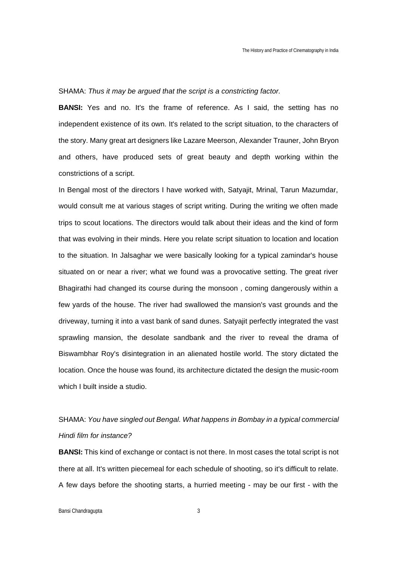### SHAMA: *Thus it may be argued that the script is a constricting factor.*

**BANSI:** Yes and no. It's the frame of reference. As I said, the setting has no independent existence of its own. It's related to the script situation, to the characters of the story. Many great art designers like Lazare Meerson, Alexander Trauner, John Bryon and others, have produced sets of great beauty and depth working within the constrictions of a script.

In Bengal most of the directors I have worked with, Satyajit, Mrinal, Tarun Mazumdar, would consult me at various stages of script writing. During the writing we often made trips to scout locations. The directors would talk about their ideas and the kind of form that was evolving in their minds. Here you relate script situation to location and location to the situation. In Jalsaghar we were basically looking for a typical zamindar's house situated on or near a river; what we found was a provocative setting. The great river Bhagirathi had changed its course during the monsoon , coming dangerously within a few yards of the house. The river had swallowed the mansion's vast grounds and the driveway, turning it into a vast bank of sand dunes. Satyajit perfectly integrated the vast sprawling mansion, the desolate sandbank and the river to reveal the drama of Biswambhar Roy's disintegration in an alienated hostile world. The story dictated the location. Once the house was found, its architecture dictated the design the music-room which I built inside a studio.

## SHAMA: *You have singled out Bengal. What happens in Bombay in a typical commercial Hindi film for instance?*

**BANSI:** This kind of exchange or contact is not there. In most cases the total script is not there at all. It's written piecemeal for each schedule of shooting, so it's difficult to relate. A few days before the shooting starts, a hurried meeting - may be our first - with the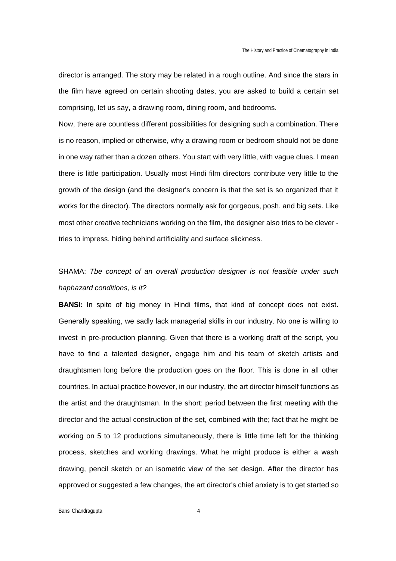director is arranged. The story may be related in a rough outline. And since the stars in the film have agreed on certain shooting dates, you are asked to build a certain set comprising, let us say, a drawing room, dining room, and bedrooms.

Now, there are countless different possibilities for designing such a combination. There is no reason, implied or otherwise, why a drawing room or bedroom should not be done in one way rather than a dozen others. You start with very little, with vague clues. I mean there is little participation. Usually most Hindi film directors contribute very little to the growth of the design (and the designer's concern is that the set is so organized that it works for the director). The directors normally ask for gorgeous, posh. and big sets. Like most other creative technicians working on the film, the designer also tries to be clever tries to impress, hiding behind artificiality and surface slickness.

## SHAMA: *Tbe concept of an overall production designer is not feasible under such haphazard conditions, is it?*

**BANSI:** In spite of big money in Hindi films, that kind of concept does not exist. Generally speaking, we sadly lack managerial skills in our industry. No one is willing to invest in pre-production planning. Given that there is a working draft of the script, you have to find a talented designer, engage him and his team of sketch artists and draughtsmen long before the production goes on the floor. This is done in all other countries. In actual practice however, in our industry, the art director himself functions as the artist and the draughtsman. In the short: period between the first meeting with the director and the actual construction of the set, combined with the; fact that he might be working on 5 to 12 productions simultaneously, there is little time left for the thinking process, sketches and working drawings. What he might produce is either a wash drawing, pencil sketch or an isometric view of the set design. After the director has approved or suggested a few changes, the art director's chief anxiety is to get started so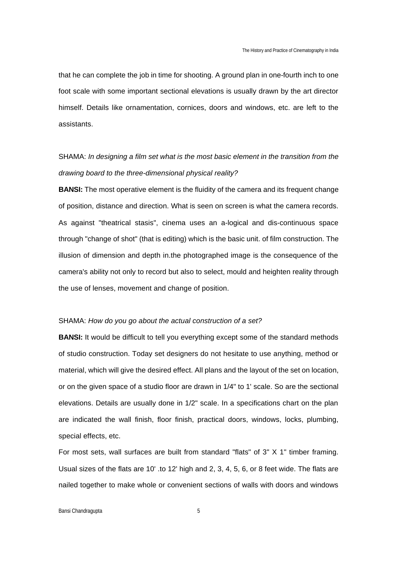that he can complete the job in time for shooting. A ground plan in one-fourth inch to one foot scale with some important sectional elevations is usually drawn by the art director himself. Details like ornamentation, cornices, doors and windows, etc. are left to the assistants.

## SHAMA: *In designing a film set what is the most basic element in the transition from the drawing board to the three-dimensional physical reality?*

**BANSI:** The most operative element is the fluidity of the camera and its frequent change of position, distance and direction. What is seen on screen is what the camera records. As against "theatrical stasis", cinema uses an a-logical and dis-continuous space through "change of shot" (that is editing) which is the basic unit. of film construction. The illusion of dimension and depth in.the photographed image is the consequence of the camera's ability not only to record but also to select, mould and heighten reality through the use of lenses, movement and change of position.

#### SHAMA: *How do you go about the actual construction of a set?*

**BANSI:** It would be difficult to tell you everything except some of the standard methods of studio construction. Today set designers do not hesitate to use anything, method or material, which will give the desired effect. All plans and the layout of the set on location, or on the given space of a studio floor are drawn in 1/4" to 1' scale. So are the sectional elevations. Details are usually done in 1/2" scale. In a specifications chart on the plan are indicated the wall finish, floor finish, practical doors, windows, locks, plumbing, special effects, etc.

For most sets, wall surfaces are built from standard "flats" of 3" X 1" timber framing. Usual sizes of the flats are 10' .to 12' high and 2, 3, 4, 5, 6, or 8 feet wide. The flats are nailed together to make whole or convenient sections of walls with doors and windows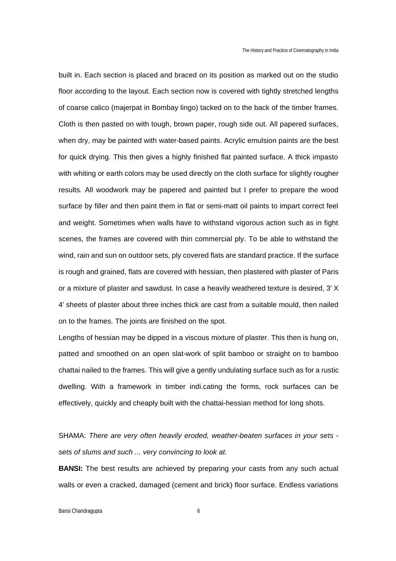built in. Each section is placed and braced on its position as marked out on the studio floor according to the layout. Each section now is covered with tightly stretched lengths of coarse calico (majerpat in Bombay lingo) tacked on to the back of the timber frames. Cloth is then pasted on with tough, brown paper, rough side out. All papered surfaces, when dry, may be painted with water-based paints. Acrylic emulsion paints are the best for quick drying. This then gives a highly finished flat painted surface. A thick impasto with whiting or earth colors may be used directly on the cloth surface for slightly rougher results. All woodwork may be papered and painted but I prefer to prepare the wood surface by filler and then paint them in flat or semi-matt oil paints to impart correct feel and weight. Sometimes when walls have to withstand vigorous action such as in fight scenes, the frames are covered with thin commercial ply. To be able to withstand the wind, rain and sun on outdoor sets, ply covered flats are standard practice. If the surface is rough and grained, flats are covered with hessian, then plastered with plaster of Paris or a mixture of plaster and sawdust. In case a heavily weathered texture is desired, 3' X 4' sheets of plaster about three inches thick are cast from a suitable mould, then nailed on to the frames. The joints are finished on the spot.

Lengths of hessian may be dipped in a viscous mixture of plaster. This then is hung on, patted and smoothed on an open slat-work of split bamboo or straight on to bamboo chattai nailed to the frames. This will give a gently undulating surface such as for a rustic dwelling. With a framework in timber indi.cating the forms, rock surfaces can be effectively, quickly and cheaply built with the chattai-hessian method for long shots.

SHAMA: *There are very often heavily eroded, weather-beaten surfaces in your sets sets of slums and such ... very convincing to look at.*

**BANSI:** The best results are achieved by preparing your casts from any such actual walls or even a cracked, damaged (cement and brick) floor surface. Endless variations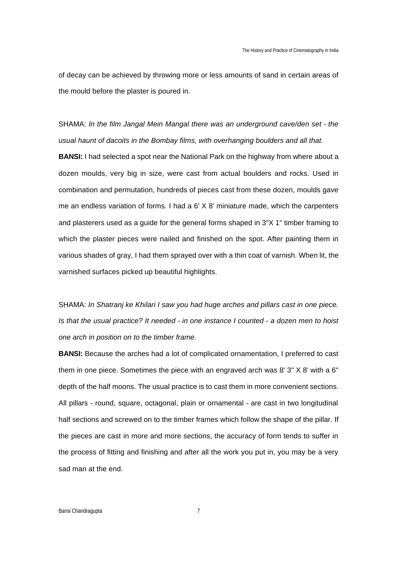of decay can be achieved by throwing more or less amounts of sand in certain areas of the mould before the plaster is poured in.

SHAMA: *In the film Jangal Mein Mangal there was an underground cave/den set - the usual haunt of dacoits in the Bombay films, with overhanging boulders and all that.*

**BANSI:** I had selected a spot near the National Park on the highway from where about a dozen moulds, very big in size, were cast from actual boulders and rocks. Used in combination and permutation, hundreds of pieces cast from these dozen, moulds gave me an endless variation of forms. I had a 6' X 8' miniature made, which the carpenters and plasterers used as a guide for the general forms shaped in 3"X 1" timber framing to which the plaster pieces were nailed and finished on the spot. After painting them in various shades of gray, I had them sprayed over with a thin coat of varnish. When lit, the varnished surfaces picked up beautiful highlights.

SHAMA: *In Shatranj ke Khilari I saw you had huge arches and pillars cast in one piece. Is that the usual practice? It needed - in one instance I counted - a dozen men to hoist one arch in position on to the timber frame.*

**BANSI:** Because the arches had a lot of complicated ornamentation, I preferred to cast them in one piece. Sometimes the piece with an engraved arch was 8' 3" X 8' with a 6" depth of the half moons. The usual practice is to cast them in more convenient sections. All pillars - round, square, octagonal, plain or ornamental - are cast in two longitudinal half sections and screwed on to the timber frames which follow the shape of the pillar. If the pieces are cast in more and more sections, the accuracy of form tends to suffer in the process of fitting and finishing and after all the work you put in, you may be a very sad man at the end.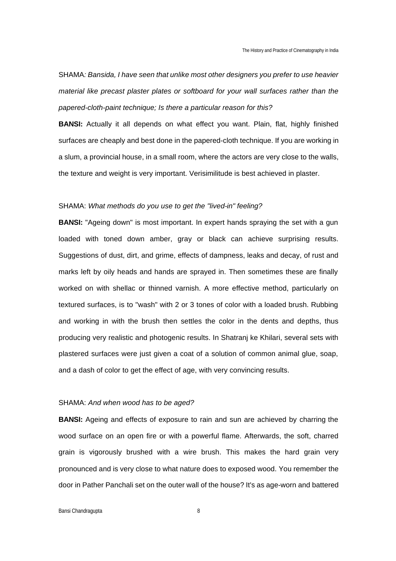SHAMA*: Bansida, I have seen that unlike most other designers you prefer to use heavier material like precast plaster plates or softboard for your wall surfaces rather than the papered-cloth-paint technique; Is there a particular reason for this?*

**BANSI:** Actually it all depends on what effect you want. Plain, flat, highly finished surfaces are cheaply and best done in the papered-cloth technique. If you are working in a slum, a provincial house, in a small room, where the actors are very close to the walls, the texture and weight is very important. Verisimilitude is best achieved in plaster.

### SHAMA: *What methods do you use to get the "lived-in" feeling?*

**BANSI:** "Ageing down" is most important. In expert hands spraying the set with a gun loaded with toned down amber, gray or black can achieve surprising results. Suggestions of dust, dirt, and grime, effects of dampness, leaks and decay, of rust and marks left by oily heads and hands are sprayed in. Then sometimes these are finally worked on with shellac or thinned varnish. A more effective method, particularly on textured surfaces, is to "wash" with 2 or 3 tones of color with a loaded brush. Rubbing and working in with the brush then settles the color in the dents and depths, thus producing very realistic and photogenic results. In Shatranj ke Khilari, several sets with plastered surfaces were just given a coat of a solution of common animal glue, soap, and a dash of color to get the effect of age, with very convincing results.

#### SHAMA: *And when wood has to be aged?*

**BANSI:** Ageing and effects of exposure to rain and sun are achieved by charring the wood surface on an open fire or with a powerful flame. Afterwards, the soft, charred grain is vigorously brushed with a wire brush. This makes the hard grain very pronounced and is very close to what nature does to exposed wood. You remember the door in Pather Panchali set on the outer wall of the house? It's as age-worn and battered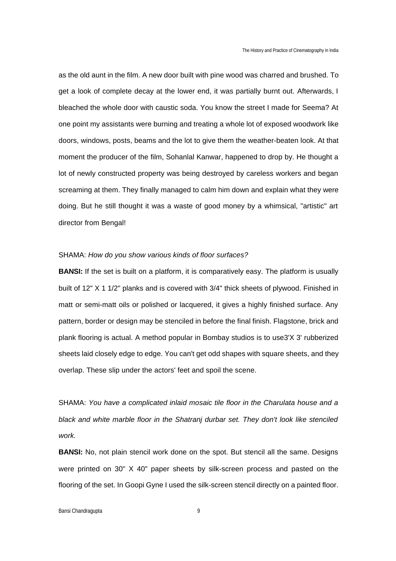as the old aunt in the film. A new door built with pine wood was charred and brushed. To get a look of complete decay at the lower end, it was partially burnt out. Afterwards, I bleached the whole door with caustic soda. You know the street I made for Seema? At one point my assistants were burning and treating a whole lot of exposed woodwork like doors, windows, posts, beams and the lot to give them the weather-beaten look. At that moment the producer of the film, Sohanlal Kanwar, happened to drop by. He thought a lot of newly constructed property was being destroyed by careless workers and began screaming at them. They finally managed to calm him down and explain what they were doing. But he still thought it was a waste of good money by a whimsical, "artistic" art director from Bengal!

#### SHAMA: *How do you show various kinds of floor surfaces?*

**BANSI:** If the set is built on a platform, it is comparatively easy. The platform is usually built of 12" X 1 1/2" planks and is covered with 3/4" thick sheets of plywood. Finished in matt or semi-matt oils or polished or lacquered, it gives a highly finished surface. Any pattern, border or design may be stenciled in before the final finish. Flagstone, brick and plank flooring is actual. A method popular in Bombay studios is to use3'X 3' rubberized sheets laid closely edge to edge. You can't get odd shapes with square sheets, and they overlap. These slip under the actors' feet and spoil the scene.

SHAMA: *You have a complicated inlaid mosaic tile floor in the Charulata house and a black and white marble floor in the Shatranj durbar set. They don't look like stenciled work.*

**BANSI:** No, not plain stencil work done on the spot. But stencil all the same. Designs were printed on 30" X 40" paper sheets by silk-screen process and pasted on the flooring of the set. In Goopi Gyne I used the silk-screen stencil directly on a painted floor.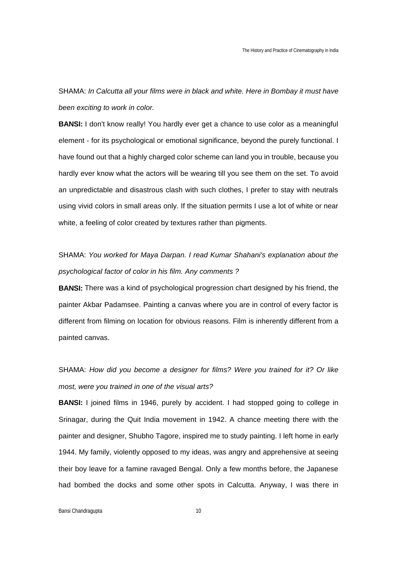SHAMA: *In Calcutta all your films were in black and white. Here in Bombay it must have been exciting to work in color.*

**BANSI:** I don't know really! You hardly ever get a chance to use color as a meaningful element - for its psychological or emotional significance, beyond the purely functional. I have found out that a highly charged color scheme can land you in trouble, because you hardly ever know what the actors will be wearing till you see them on the set. To avoid an unpredictable and disastrous clash with such clothes, I prefer to stay with neutrals using vivid colors in small areas only. If the situation permits I use a lot of white or near white, a feeling of color created by textures rather than pigments.

# SHAMA: *You worked for Maya Darpan. I read Kumar Shahani's explanation about the psychological factor of color in his film. Any comments ?*

**BANSI:** There was a kind of psychological progression chart designed by his friend, the painter Akbar Padamsee. Painting a canvas where you are in control of every factor is different from filming on location for obvious reasons. Film is inherently different from a painted canvas.

SHAMA: *How did you become a designer for films? Were you trained for it? Or like most, were you trained in one of the visual arts?*

**BANSI:** I joined films in 1946, purely by accident. I had stopped going to college in Srinagar, during the Quit India movement in 1942. A chance meeting there with the painter and designer, Shubho Tagore, inspired me to study painting. I left home in early 1944. My family, violently opposed to my ideas, was angry and apprehensive at seeing their boy leave for a famine ravaged Bengal. Only a few months before, the Japanese had bombed the docks and some other spots in Calcutta. Anyway, I was there in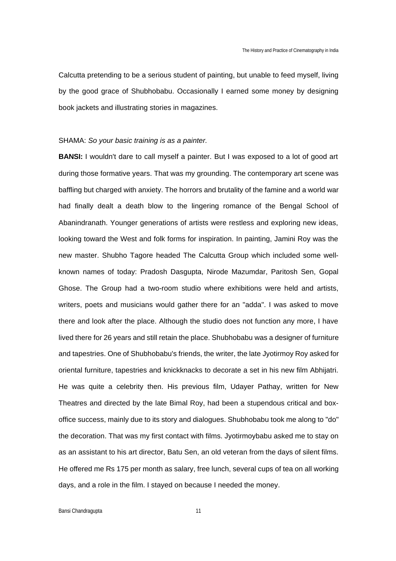Calcutta pretending to be a serious student of painting, but unable to feed myself, living by the good grace of Shubhobabu. Occasionally I earned some money by designing book jackets and illustrating stories in magazines.

#### SHAMA: *So your basic training is as a painter.*

**BANSI:** I wouldn't dare to call myself a painter. But I was exposed to a lot of good art during those formative years. That was my grounding. The contemporary art scene was baffling but charged with anxiety. The horrors and brutality of the famine and a world war had finally dealt a death blow to the lingering romance of the Bengal School of Abanindranath. Younger generations of artists were restless and exploring new ideas, looking toward the West and folk forms for inspiration. In painting, Jamini Roy was the new master. Shubho Tagore headed The Calcutta Group which included some wellknown names of today: Pradosh Dasgupta, Nirode Mazumdar, Paritosh Sen, Gopal Ghose. The Group had a two-room studio where exhibitions were held and artists, writers, poets and musicians would gather there for an "adda". I was asked to move there and look after the place. Although the studio does not function any more, I have lived there for 26 years and still retain the place. Shubhobabu was a designer of furniture and tapestries. One of Shubhobabu's friends, the writer, the late Jyotirmoy Roy asked for oriental furniture, tapestries and knickknacks to decorate a set in his new film Abhijatri. He was quite a celebrity then. His previous film, Udayer Pathay, written for New Theatres and directed by the late Bimal Roy, had been a stupendous critical and boxoffice success, mainly due to its story and dialogues. Shubhobabu took me along to "do" the decoration. That was my first contact with films. Jyotirmoybabu asked me to stay on as an assistant to his art director, Batu Sen, an old veteran from the days of silent films. He offered me Rs 175 per month as salary, free lunch, several cups of tea on all working days, and a role in the film. I stayed on because I needed the money.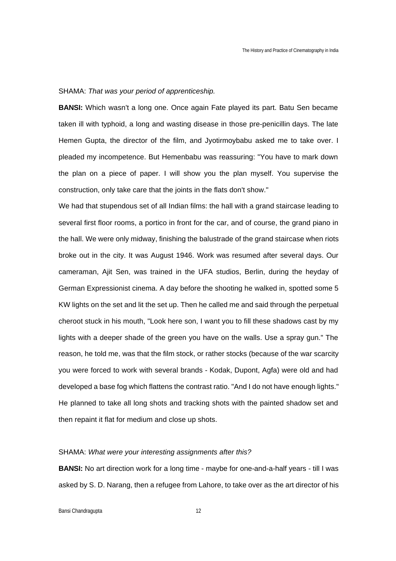#### SHAMA: *That was your period of apprenticeship.*

**BANSI:** Which wasn't a long one. Once again Fate played its part. Batu Sen became taken ill with typhoid, a long and wasting disease in those pre-penicillin days. The late Hemen Gupta, the director of the film, and Jyotirmoybabu asked me to take over. I pleaded my incompetence. But Hemenbabu was reassuring: "You have to mark down the plan on a piece of paper. I will show you the plan myself. You supervise the construction, only take care that the joints in the flats don't show."

We had that stupendous set of all Indian films: the hall with a grand staircase leading to several first floor rooms, a portico in front for the car, and of course, the grand piano in the hall. We were only midway, finishing the balustrade of the grand staircase when riots broke out in the city. It was August 1946. Work was resumed after several days. Our cameraman, Ajit Sen, was trained in the UFA studios, Berlin, during the heyday of German Expressionist cinema. A day before the shooting he walked in, spotted some 5 KW lights on the set and lit the set up. Then he called me and said through the perpetual cheroot stuck in his mouth, "Look here son, I want you to fill these shadows cast by my lights with a deeper shade of the green you have on the walls. Use a spray gun." The reason, he told me, was that the film stock, or rather stocks (because of the war scarcity you were forced to work with several brands - Kodak, Dupont, Agfa) were old and had developed a base fog which flattens the contrast ratio. "And I do not have enough lights." He planned to take all long shots and tracking shots with the painted shadow set and then repaint it flat for medium and close up shots.

#### SHAMA: *What were your interesting assignments after this?*

**BANSI:** No art direction work for a long time - maybe for one-and-a-half years - till I was asked by S. D. Narang, then a refugee from Lahore, to take over as the art director of his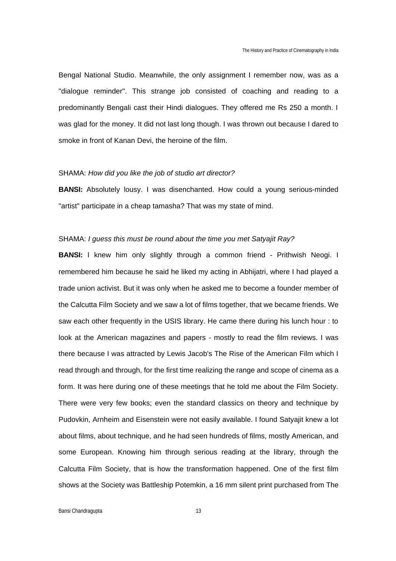Bengal National Studio. Meanwhile, the only assignment I remember now, was as a "dialogue reminder". This strange job consisted of coaching and reading to a predominantly Bengali cast their Hindi dialogues. They offered me Rs 250 a month. I was glad for the money. It did not last long though. I was thrown out because I dared to smoke in front of Kanan Devi, the heroine of the film.

#### SHAMA: *How did you like the job of studio art director?*

**BANSI:** Absolutely lousy. I was disenchanted. How could a young serious-minded "artist" participate in a cheap tamasha? That was my state of mind.

#### SHAMA: *I guess this must be round about the time you met Satyajit Ray?*

**BANSI:** I knew him only slightly through a common friend - Prithwish Neogi. I remembered him because he said he liked my acting in Abhijatri, where I had played a trade union activist. But it was only when he asked me to become a founder member of the Calcutta Film Society and we saw a lot of films together, that we became friends. We saw each other frequently in the USIS library. He came there during his lunch hour : to look at the American magazines and papers - mostly to read the film reviews. I was there because I was attracted by Lewis Jacob's The Rise of the American Film which I read through and through, for the first time realizing the range and scope of cinema as a form. It was here during one of these meetings that he told me about the Film Society. There were very few books; even the standard classics on theory and technique by Pudovkin, Arnheim and Eisenstein were not easily available. I found Satyajit knew a lot about films, about technique, and he had seen hundreds of films, mostly American, and some European. Knowing him through serious reading at the library, through the Calcutta Film Society, that is how the transformation happened. One of the first film shows at the Society was Battleship Potemkin, a 16 mm silent print purchased from The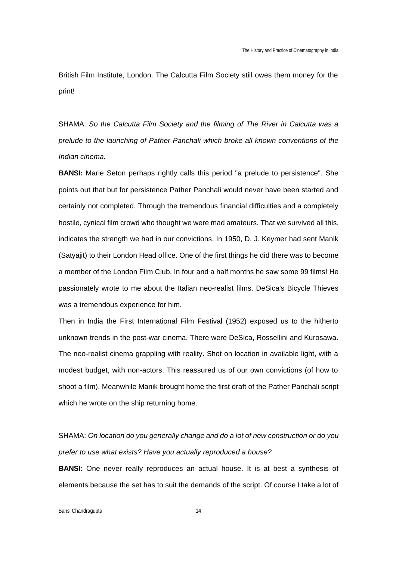British Film Institute, London. The Calcutta Film Society still owes them money for the print!

SHAMA: *So the Calcutta Film Society and the filming of The River in Calcutta was a prelude to the launching of Pather Panchali which broke all known conventions of the Indian cinema.*

**BANSI:** Marie Seton perhaps rightly calls this period "a prelude to persistence". She points out that but for persistence Pather Panchali would never have been started and certainly not completed. Through the tremendous financial difficulties and a completely hostile, cynical film crowd who thought we were mad amateurs. That we survived all this, indicates the strength we had in our convictions. In 1950, D. J. Keymer had sent Manik (Satyajit) to their London Head office. One of the first things he did there was to become a member of the London Film Club. In four and a half months he saw some 99 films! He passionately wrote to me about the Italian neo-realist films. DeSica's Bicycle Thieves was a tremendous experience for him.

Then in India the First International Film Festival (1952) exposed us to the hitherto unknown trends in the post-war cinema. There were DeSica, Rossellini and Kurosawa. The neo-realist cinema grappling with reality. Shot on location in available light, with a modest budget, with non-actors. This reassured us of our own convictions (of how to shoot a film). Meanwhile Manik brought home the first draft of the Pather Panchali script which he wrote on the ship returning home.

SHAMA: *On location do you generally change and do a lot of new construction or do you prefer to use what exists? Have you actually reproduced a house?*

**BANSI:** One never really reproduces an actual house. It is at best a synthesis of elements because the set has to suit the demands of the script. Of course I take a lot of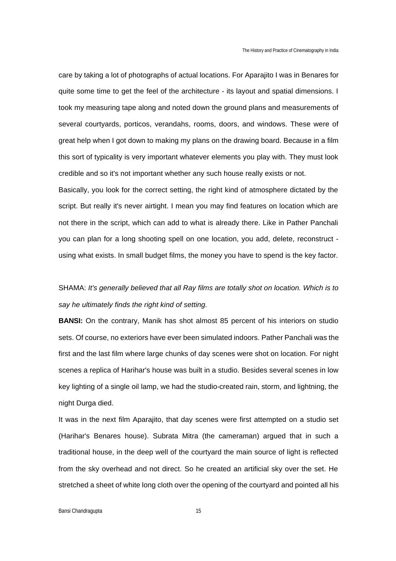care by taking a lot of photographs of actual locations. For Aparajito I was in Benares for quite some time to get the feel of the architecture - its layout and spatial dimensions. I took my measuring tape along and noted down the ground plans and measurements of several courtyards, porticos, verandahs, rooms, doors, and windows. These were of great help when I got down to making my plans on the drawing board. Because in a film this sort of typicality is very important whatever elements you play with. They must look credible and so it's not important whether any such house really exists or not.

Basically, you look for the correct setting, the right kind of atmosphere dictated by the script. But really it's never airtight. I mean you may find features on location which are not there in the script, which can add to what is already there. Like in Pather Panchali you can plan for a long shooting spell on one location, you add, delete, reconstruct using what exists. In small budget films, the money you have to spend is the key factor.

# SHAMA: *It's generally believed that all Ray films are totally shot on location. Which is to say he ultimately finds the right kind of setting.*

**BANSI:** On the contrary, Manik has shot almost 85 percent of his interiors on studio sets. Of course, no exteriors have ever been simulated indoors. Pather Panchali was the first and the last film where large chunks of day scenes were shot on location. For night scenes a replica of Harihar's house was built in a studio. Besides several scenes in low key lighting of a single oil lamp, we had the studio-created rain, storm, and lightning, the night Durga died.

It was in the next film Aparajito, that day scenes were first attempted on a studio set (Harihar's Benares house). Subrata Mitra (the cameraman) argued that in such a traditional house, in the deep well of the courtyard the main source of light is reflected from the sky overhead and not direct. So he created an artificial sky over the set. He stretched a sheet of white long cloth over the opening of the courtyard and pointed all his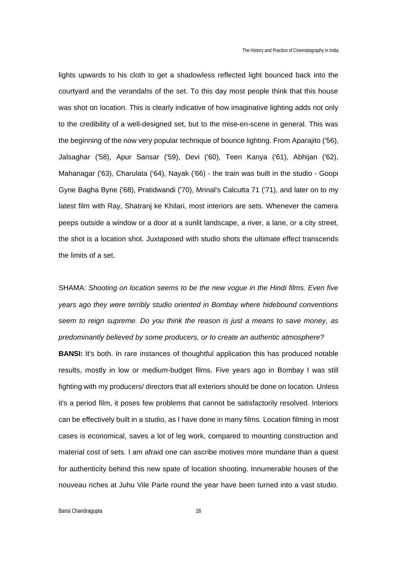lights upwards to his cloth to get a shadowless reflected light bounced back into the courtyard and the verandahs of the set. To this day most people think that this house was shot on location. This is clearly indicative of how imaginative lighting adds not only to the credibility of a well-designed set, but to the mise-en-scene in general. This was the beginning of the now very popular technique of bounce lighting. From Aparajito ('56), Jalsaghar ('58), Apur Sansar ('59), Devi ('60), Teen Kanya ('61), Abhijan ('62), Mahanagar ('63), Charulata ('64), Nayak ('66) - the train was built in the studio - Goopi Gyne Bagha Byne ('68), Pratidwandi ('70), Mrinal's Calcutta 71 ('71), and later on to my latest film with Ray, Shatranj ke Khilari, most interiors are sets. Whenever the camera peeps outside a window or a door at a sunlit landscape, a river, a lane, or a city street, the shot is a location shot. Juxtaposed with studio shots the ultimate effect transcends the limits of a set.

SHAMA: *Shooting on location seems to be the new vogue in the Hindi films. Even five years ago they were terribly studio oriented in Bombay where hidebound conventions seem to reign supreme. Do you think the reason is just a means to save money, as predominantly believed by some producers, or to create an authentic atmosphere?*

**BANSI:** It's both. In rare instances of thoughtful application this has produced notable results, mostly in low or medium-budget films. Five years ago in Bombay I was still fighting with my producers/ directors that all exteriors should be done on location. Unless it's a period film, it poses few problems that cannot be satisfactorily resolved. Interiors can be effectively built in a studio, as I have done in many films. Location filming in most cases is economical, saves a lot of leg work, compared to mounting construction and material cost of sets. I am afraid one can ascribe motives more mundane than a quest for authenticity behind this new spate of location shooting. Innumerable houses of the nouveau riches at Juhu Vile Parle round the year have been turned into a vast studio.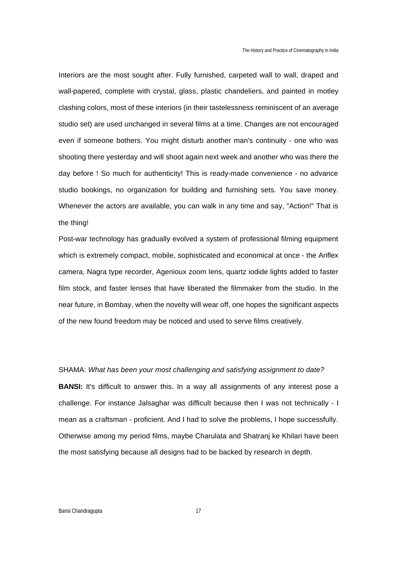Interiors are the most sought after. Fully furnished, carpeted wall to wall, draped and wall-papered, complete with crystal, glass, plastic chandeliers, and painted in motley clashing colors, most of these interiors (in their tastelessness reminiscent of an average studio set) are used unchanged in several films at a time. Changes are not encouraged even if someone bothers. You might disturb another man's continuity - one who was shooting there yesterday and will shoot again next week and another who was there the day before ! So much for authenticity! This is ready-made convenience - no advance studio bookings, no organization for building and furnishing sets. You save money. Whenever the actors are available, you can walk in any time and say, "Action!" That is the thing!

Post-war technology has gradually evolved a system of professional filming equipment which is extremely compact, mobile, sophisticated and economical at once - the Ariflex camera, Nagra type recorder, Agenioux zoom lens, quartz iodide lights added to faster film stock, and faster lenses that have liberated the filmmaker from the studio. In the near future, in Bombay, when the novelty will wear off, one hopes the significant aspects of the new found freedom may be noticed and used to serve films creatively.

SHAMA: *What has been your most challenging and satisfying assignment to date?* **BANSI:** It's difficult to answer this. In a way all assignments of any interest pose a challenge. For instance Jalsaghar was difficult because then I was not technically - I mean as a craftsman - proficient. And I had to solve the problems, I hope successfully. Otherwise among my period films, maybe Charulata and Shatranj ke Khilari have been the most satisfying because all designs had to be backed by research in depth.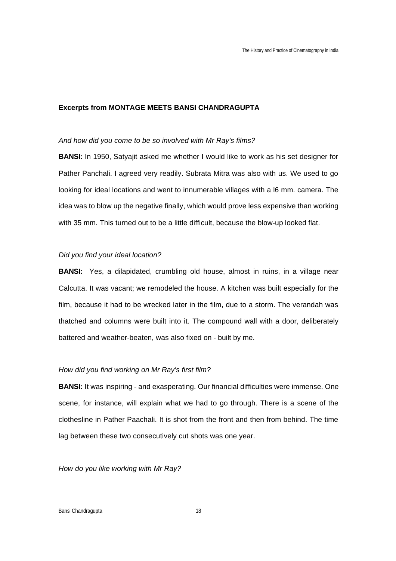## **Excerpts from MONTAGE MEETS BANSI CHANDRAGUPTA**

#### *And how did you come to be so involved with Mr Ray's films?*

**BANSI:** In 1950, Satyajit asked me whether I would like to work as his set designer for Pather Panchali. I agreed very readily. Subrata Mitra was also with us. We used to go looking for ideal locations and went to innumerable villages with a l6 mm. camera. The idea was to blow up the negative finally, which would prove less expensive than working with 35 mm. This turned out to be a little difficult, because the blow-up looked flat.

#### *Did you find your ideal location?*

**BANSI:** Yes, a dilapidated, crumbling old house, almost in ruins, in a village near Calcutta. It was vacant; we remodeled the house. A kitchen was built especially for the film, because it had to be wrecked later in the film, due to a storm. The verandah was thatched and columns were built into it. The compound wall with a door, deliberately battered and weather-beaten, was also fixed on - built by me.

#### *How did you find working on Mr Ray's first film?*

**BANSI:** It was inspiring - and exasperating. Our financial difficulties were immense. One scene, for instance, will explain what we had to go through. There is a scene of the clothesline in Pather Paachali. It is shot from the front and then from behind. The time lag between these two consecutively cut shots was one year.

*How do you like working with Mr Ray?*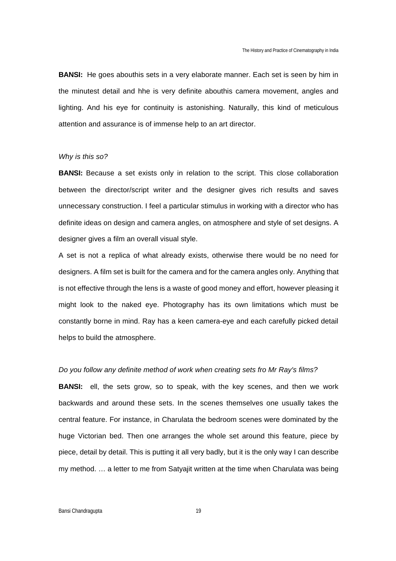**BANSI:** He goes abouthis sets in a very elaborate manner. Each set is seen by him in the minutest detail and hhe is very definite abouthis camera movement, angles and lighting. And his eye for continuity is astonishing. Naturally, this kind of meticulous attention and assurance is of immense help to an art director.

## *Why is this so?*

**BANSI:** Because a set exists only in relation to the script. This close collaboration between the director/script writer and the designer gives rich results and saves unnecessary construction. I feel a particular stimulus in working with a director who has definite ideas on design and camera angles, on atmosphere and style of set designs. A designer gives a film an overall visual style.

A set is not a replica of what already exists, otherwise there would be no need for designers. A film set is built for the camera and for the camera angles only. Anything that is not effective through the lens is a waste of good money and effort, however pleasing it might look to the naked eye. Photography has its own limitations which must be constantly borne in mind. Ray has a keen camera-eye and each carefully picked detail helps to build the atmosphere.

#### *Do you follow any definite method of work when creating sets fro Mr Ray's films?*

**BANSI:** ell, the sets grow, so to speak, with the key scenes, and then we work backwards and around these sets. In the scenes themselves one usually takes the central feature. For instance, in Charulata the bedroom scenes were dominated by the huge Victorian bed. Then one arranges the whole set around this feature, piece by piece, detail by detail. This is putting it all very badly, but it is the only way I can describe my method. … a letter to me from Satyajit written at the time when Charulata was being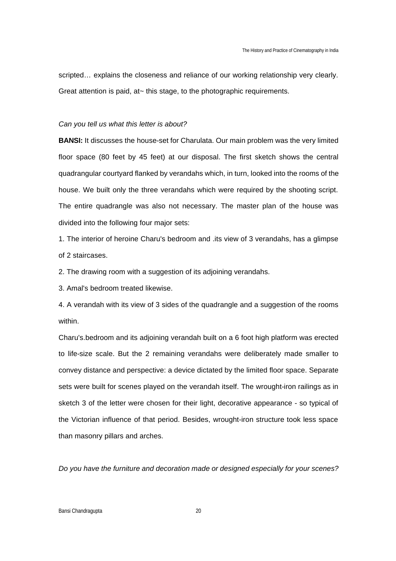scripted… explains the closeness and reliance of our working relationship very clearly. Great attention is paid, at~ this stage, to the photographic requirements.

#### *Can you tell us what this letter is about?*

**BANSI:** It discusses the house-set for Charulata. Our main problem was the very limited floor space (80 feet by 45 feet) at our disposal. The first sketch shows the central quadrangular courtyard flanked by verandahs which, in turn, looked into the rooms of the house. We built only the three verandahs which were required by the shooting script. The entire quadrangle was also not necessary. The master plan of the house was divided into the following four major sets:

1. The interior of heroine Charu's bedroom and .its view of 3 verandahs, has a glimpse of 2 staircases.

2. The drawing room with a suggestion of its adjoining verandahs.

3. Amal's bedroom treated likewise.

4. A verandah with its view of 3 sides of the quadrangle and a suggestion of the rooms within.

Charu's.bedroom and its adjoining verandah built on a 6 foot high platform was erected to life-size scale. But the 2 remaining verandahs were deliberately made smaller to convey distance and perspective: a device dictated by the limited floor space. Separate sets were built for scenes played on the verandah itself. The wrought-iron railings as in sketch 3 of the letter were chosen for their light, decorative appearance - so typical of the Victorian influence of that period. Besides, wrought-iron structure took less space than masonry pillars and arches.

*Do you have the furniture and decoration made or designed especially for your scenes?*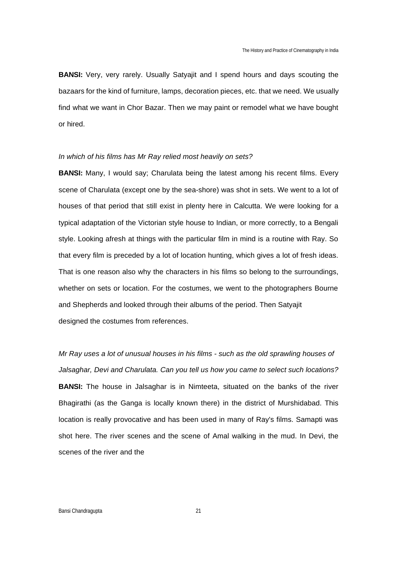**BANSI:** Very, very rarely. Usually Satyajit and I spend hours and days scouting the bazaars for the kind of furniture, lamps, decoration pieces, etc. that we need. We usually find what we want in Chor Bazar. Then we may paint or remodel what we have bought or hired.

### *In which of his films has Mr Ray relied most heavily on sets?*

**BANSI:** Many, I would say; Charulata being the latest among his recent films. Every scene of Charulata (except one by the sea-shore) was shot in sets. We went to a lot of houses of that period that still exist in plenty here in Calcutta. We were looking for a typical adaptation of the Victorian style house to Indian, or more correctly, to a Bengali style. Looking afresh at things with the particular film in mind is a routine with Ray. So that every film is preceded by a lot of location hunting, which gives a lot of fresh ideas. That is one reason also why the characters in his films so belong to the surroundings, whether on sets or location. For the costumes, we went to the photographers Bourne and Shepherds and looked through their albums of the period. Then Satyajit designed the costumes from references.

*Mr Ray uses a lot of unusual houses in his films - such as the old sprawling houses of Jalsaghar, Devi and Charulata. Can you tell us how you came to select such locations?* **BANSI:** The house in Jalsaghar is in Nimteeta, situated on the banks of the river Bhagirathi (as the Ganga is locally known there) in the district of Murshidabad. This location is really provocative and has been used in many of Ray's films. Samapti was shot here. The river scenes and the scene of Amal walking in the mud. In Devi, the scenes of the river and the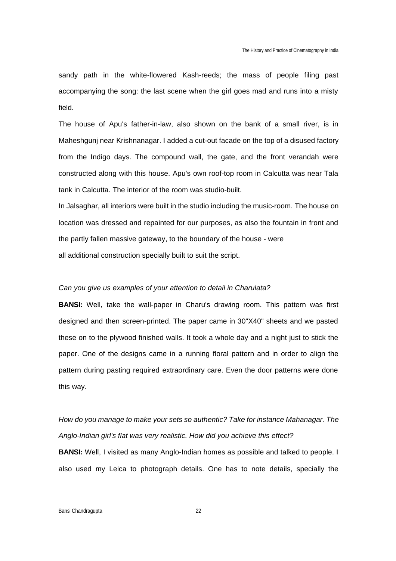sandy path in the white-flowered Kash-reeds; the mass of people filing past accompanying the song: the last scene when the girl goes mad and runs into a misty field.

The house of Apu's father-in-law, also shown on the bank of a small river, is in Maheshgunj near Krishnanagar. I added a cut-out facade on the top of a disused factory from the Indigo days. The compound wall, the gate, and the front verandah were constructed along with this house. Apu's own roof-top room in Calcutta was near Tala tank in Calcutta. The interior of the room was studio-built.

In Jalsaghar, all interiors were built in the studio including the music-room. The house on location was dressed and repainted for our purposes, as also the fountain in front and the partly fallen massive gateway, to the boundary of the house - were all additional construction specially built to suit the script.

#### *Can you give us examples of your attention to detail in Charulata?*

**BANSI:** Well, take the wall-paper in Charu's drawing room. This pattern was first designed and then screen-printed. The paper came in 30"X40" sheets and we pasted these on to the plywood finished walls. It took a whole day and a night just to stick the paper. One of the designs came in a running floral pattern and in order to align the pattern during pasting required extraordinary care. Even the door patterns were done this way.

## *How do you manage to make your sets so authentic? Take for instance Mahanagar. The Anglo-Indian girl's flat was very realistic. How did you achieve this effect?*

**BANSI:** Well, I visited as many Anglo-Indian homes as possible and talked to people. I also used my Leica to photograph details. One has to note details, specially the